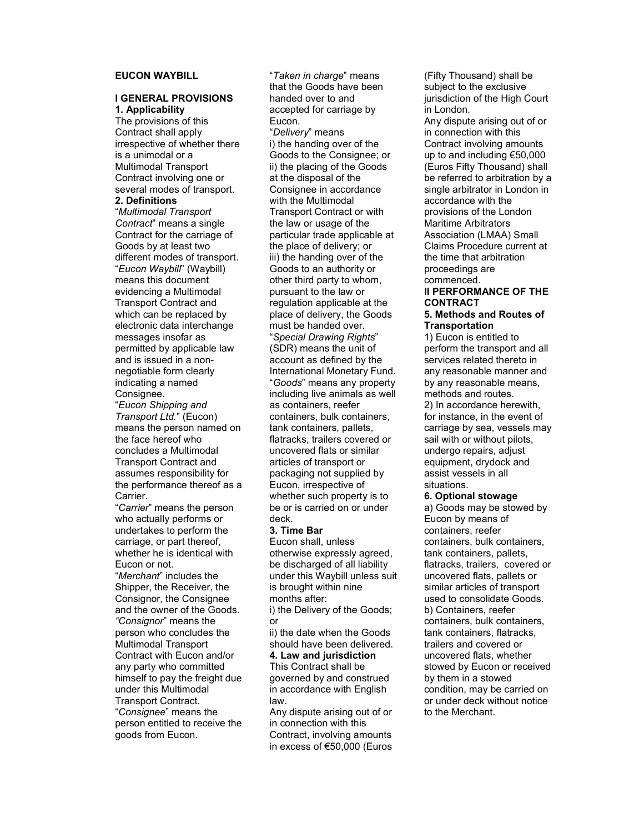# EUCON WAYBILL

## I GENERAL PROVISIONS 1. Applicability

The provisions of this Contract shall apply irrespective of whether there is a unimodal or a Multimodal Transport Contract involving one or several modes of transport.

# 2. Definitions

"Multimodal Transport Contract" means a single Contract for the carriage of Goods by at least two different modes of transport. "Eucon Waybill" (Waybill) means this document evidencing a Multimodal Transport Contract and which can be replaced by electronic data interchange messages insofar as permitted by applicable law and is issued in a nonnegotiable form clearly indicating a named Consignee.

"Eucon Shipping and Transport Ltd." (Eucon) means the person named on the face hereof who concludes a Multimodal Transport Contract and assumes responsibility for the performance thereof as a Carrier.

"Carrier" means the person who actually performs or undertakes to perform the carriage, or part thereof, whether he is identical with Eucon or not.

"Merchant" includes the Shipper, the Receiver, the Consignor, the Consignee and the owner of the Goods. "Consignor" means the person who concludes the Multimodal Transport Contract with Eucon and/or any party who committed himself to pay the freight due under this Multimodal Transport Contract. "Consignee" means the person entitled to receive the goods from Eucon.

"Taken in charge" means that the Goods have been handed over to and accepted for carriage by Eucon. "Delivery" means i) the handing over of the Goods to the Consignee; or ii) the placing of the Goods at the disposal of the Consignee in accordance with the Multimodal Transport Contract or with the law or usage of the particular trade applicable at the place of delivery; or iii) the handing over of the Goods to an authority or other third party to whom, pursuant to the law or regulation applicable at the place of delivery, the Goods must be handed over. "Special Drawing Rights" (SDR) means the unit of account as defined by the International Monetary Fund. "Goods" means any property including live animals as well as containers, reefer containers, bulk containers, tank containers, pallets, flatracks, trailers covered or uncovered flats or similar articles of transport or packaging not supplied by Eucon, irrespective of whether such property is to be or is carried on or under deck.

#### 3. Time Bar

Eucon shall, unless otherwise expressly agreed, be discharged of all liability under this Waybill unless suit is brought within nine months after: i) the Delivery of the Goods;

or ii) the date when the Goods should have been delivered. 4. Law and jurisdiction This Contract shall be governed by and construed in accordance with English law.

Any dispute arising out of or in connection with this Contract, involving amounts in excess of €50,000 (Euros

(Fifty Thousand) shall be subject to the exclusive jurisdiction of the High Court in London. Any dispute arising out of or in connection with this Contract involving amounts up to and including €50,000 (Euros Fifty Thousand) shall be referred to arbitration by a single arbitrator in London in accordance with the provisions of the London Maritime Arbitrators Association (LMAA) Small Claims Procedure current at the time that arbitration proceedings are commenced.

# II PERFORMANCE OF THE **CONTRACT**

# 5. Methods and Routes of **Transportation**

1) Eucon is entitled to perform the transport and all services related thereto in any reasonable manner and by any reasonable means, methods and routes. 2) In accordance herewith, for instance, in the event of carriage by sea, vessels may sail with or without pilots, undergo repairs, adjust equipment, drydock and assist vessels in all situations.

#### 6. Optional stowage

a) Goods may be stowed by Eucon by means of containers, reefer containers, bulk containers, tank containers, pallets, flatracks, trailers, covered or uncovered flats, pallets or similar articles of transport used to consolidate Goods. b) Containers, reefer containers, bulk containers, tank containers, flatracks, trailers and covered or uncovered flats, whether stowed by Eucon or received by them in a stowed condition, may be carried on or under deck without notice to the Merchant.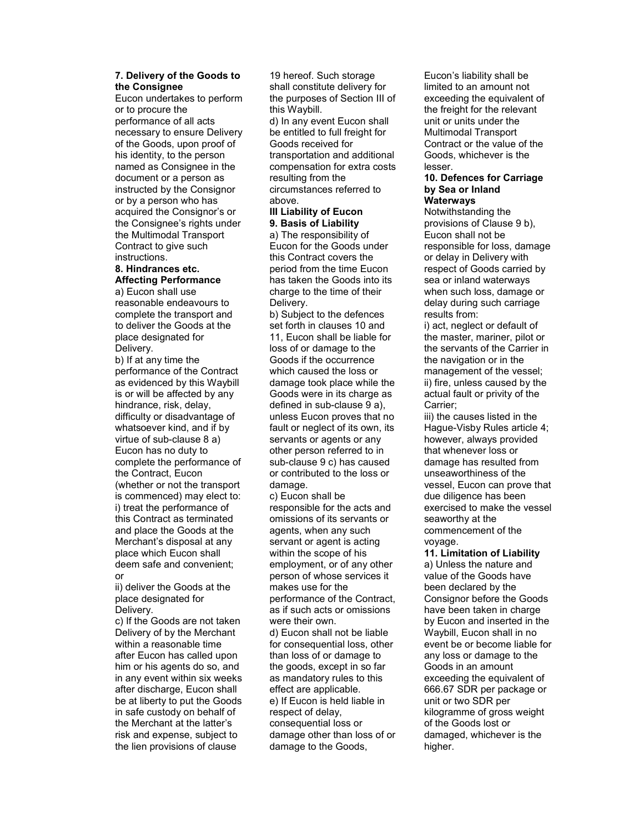# 7. Delivery of the Goods to the Consignee

Eucon undertakes to perform or to procure the performance of all acts necessary to ensure Delivery of the Goods, upon proof of his identity, to the person named as Consignee in the document or a person as instructed by the Consignor or by a person who has acquired the Consignor's or the Consignee's rights under the Multimodal Transport Contract to give such instructions.

# 8. Hindrances etc. Affecting Performance

a) Eucon shall use reasonable endeavours to complete the transport and to deliver the Goods at the place designated for Delivery.

b) If at any time the performance of the Contract as evidenced by this Waybill is or will be affected by any hindrance, risk, delay, difficulty or disadvantage of whatsoever kind, and if by virtue of sub-clause 8 a) Eucon has no duty to complete the performance of the Contract, Eucon (whether or not the transport is commenced) may elect to: i) treat the performance of this Contract as terminated and place the Goods at the Merchant's disposal at any place which Eucon shall deem safe and convenient; or

ii) deliver the Goods at the place designated for Delivery.

c) If the Goods are not taken Delivery of by the Merchant within a reasonable time after Eucon has called upon him or his agents do so, and in any event within six weeks after discharge, Eucon shall be at liberty to put the Goods in safe custody on behalf of the Merchant at the latter's risk and expense, subject to the lien provisions of clause

19 hereof. Such storage shall constitute delivery for the purposes of Section III of this Waybill.

d) In any event Eucon shall be entitled to full freight for Goods received for transportation and additional compensation for extra costs resulting from the circumstances referred to above.

## III Liability of Eucon 9. Basis of Liability

a) The responsibility of Eucon for the Goods under this Contract covers the period from the time Eucon has taken the Goods into its charge to the time of their Delivery.

b) Subject to the defences set forth in clauses 10 and 11, Eucon shall be liable for loss of or damage to the Goods if the occurrence which caused the loss or damage took place while the Goods were in its charge as defined in sub-clause  $9a$ ), unless Eucon proves that no fault or neglect of its own, its servants or agents or any other person referred to in sub-clause 9 c) has caused or contributed to the loss or damage.

c) Eucon shall be responsible for the acts and omissions of its servants or agents, when any such servant or agent is acting within the scope of his employment, or of any other person of whose services it makes use for the performance of the Contract, as if such acts or omissions were their own. d) Eucon shall not be liable for consequential loss, other than loss of or damage to

the goods, except in so far as mandatory rules to this effect are applicable. e) If Eucon is held liable in respect of delay, consequential loss or damage other than loss of or damage to the Goods,

Eucon's liability shall be limited to an amount not exceeding the equivalent of the freight for the relevant unit or units under the Multimodal Transport Contract or the value of the Goods, whichever is the lesser.

#### 10. Defences for Carriage by Sea or Inland Waterways

Notwithstanding the provisions of Clause 9 b), Eucon shall not be responsible for loss, damage or delay in Delivery with respect of Goods carried by sea or inland waterways when such loss, damage or delay during such carriage results from:

i) act, neglect or default of the master, mariner, pilot or the servants of the Carrier in the navigation or in the management of the vessel; ii) fire, unless caused by the actual fault or privity of the Carrier;

iii) the causes listed in the Hague-Visby Rules article 4; however, always provided that whenever loss or damage has resulted from unseaworthiness of the vessel, Eucon can prove that due diligence has been exercised to make the vessel seaworthy at the commencement of the voyage.

11. Limitation of Liability a) Unless the nature and value of the Goods have been declared by the Consignor before the Goods have been taken in charge by Eucon and inserted in the Waybill, Eucon shall in no event be or become liable for any loss or damage to the Goods in an amount exceeding the equivalent of 666.67 SDR per package or unit or two SDR per kilogramme of gross weight of the Goods lost or damaged, whichever is the higher.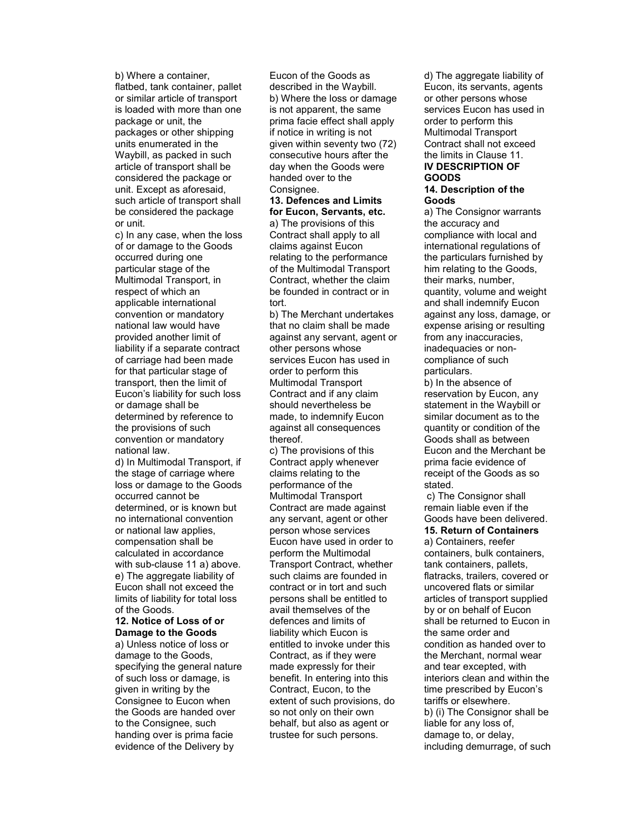b) Where a container, flatbed, tank container, pallet or similar article of transport is loaded with more than one package or unit, the packages or other shipping units enumerated in the Waybill, as packed in such article of transport shall be considered the package or unit. Except as aforesaid, such article of transport shall be considered the package or unit.

c) In any case, when the loss of or damage to the Goods occurred during one particular stage of the Multimodal Transport, in respect of which an applicable international convention or mandatory national law would have provided another limit of liability if a separate contract of carriage had been made for that particular stage of transport, then the limit of Eucon's liability for such loss or damage shall be determined by reference to the provisions of such convention or mandatory national law.

d) In Multimodal Transport, if the stage of carriage where loss or damage to the Goods occurred cannot be determined, or is known but no international convention or national law applies, compensation shall be calculated in accordance with sub-clause 11 a) above. e) The aggregate liability of Eucon shall not exceed the limits of liability for total loss of the Goods.

#### 12. Notice of Loss of or Damage to the Goods

a) Unless notice of loss or damage to the Goods, specifying the general nature of such loss or damage, is given in writing by the Consignee to Eucon when the Goods are handed over to the Consignee, such handing over is prima facie evidence of the Delivery by

Eucon of the Goods as described in the Waybill. b) Where the loss or damage is not apparent, the same prima facie effect shall apply if notice in writing is not given within seventy two (72) consecutive hours after the day when the Goods were handed over to the Consignee.

#### 13. Defences and Limits for Eucon, Servants, etc.

a) The provisions of this Contract shall apply to all claims against Eucon relating to the performance of the Multimodal Transport Contract, whether the claim be founded in contract or in tort.

b) The Merchant undertakes that no claim shall be made against any servant, agent or other persons whose services Eucon has used in order to perform this Multimodal Transport Contract and if any claim should nevertheless be made, to indemnify Eucon against all consequences thereof.

c) The provisions of this Contract apply whenever claims relating to the performance of the Multimodal Transport Contract are made against any servant, agent or other person whose services Eucon have used in order to perform the Multimodal Transport Contract, whether such claims are founded in contract or in tort and such persons shall be entitled to avail themselves of the defences and limits of liability which Eucon is entitled to invoke under this Contract, as if they were made expressly for their benefit. In entering into this Contract, Eucon, to the extent of such provisions, do so not only on their own behalf, but also as agent or trustee for such persons.

d) The aggregate liability of Eucon, its servants, agents or other persons whose services Eucon has used in order to perform this Multimodal Transport Contract shall not exceed the limits in Clause 11. IV DESCRIPTION OF GOODS 14. Description of the

# Goods

a) The Consignor warrants the accuracy and compliance with local and international regulations of the particulars furnished by him relating to the Goods, their marks, number, quantity, volume and weight and shall indemnify Eucon against any loss, damage, or expense arising or resulting from any inaccuracies, inadequacies or noncompliance of such particulars.

b) In the absence of reservation by Eucon, any statement in the Waybill or similar document as to the quantity or condition of the Goods shall as between Eucon and the Merchant be prima facie evidence of receipt of the Goods as so stated.

c) The Consignor shall remain liable even if the Goods have been delivered.

# 15. Return of Containers

a) Containers, reefer containers, bulk containers, tank containers, pallets, flatracks, trailers, covered or uncovered flats or similar articles of transport supplied by or on behalf of Eucon shall be returned to Eucon in the same order and condition as handed over to the Merchant, normal wear and tear excepted, with interiors clean and within the time prescribed by Eucon's tariffs or elsewhere. b) (i) The Consignor shall be liable for any loss of, damage to, or delay, including demurrage, of such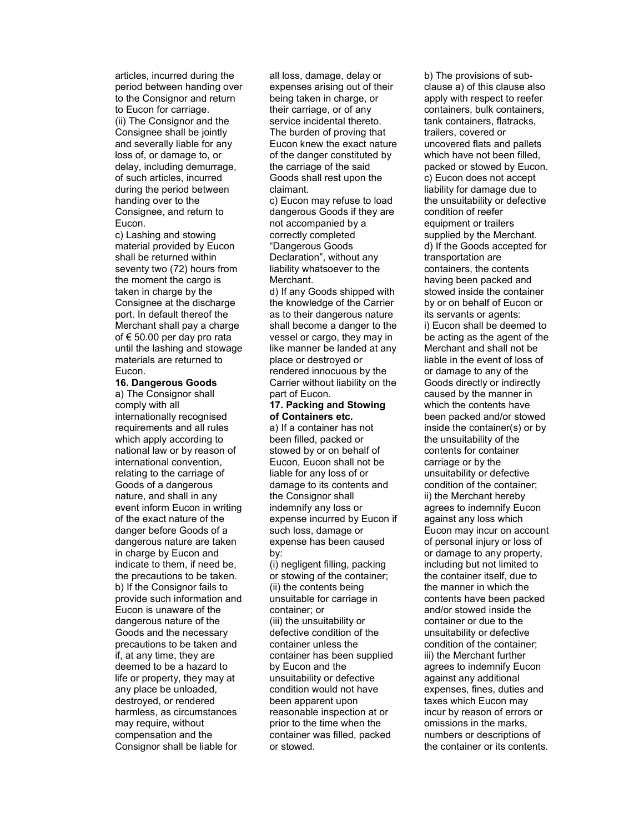articles, incurred during the period between handing over to the Consignor and return to Eucon for carriage. (ii) The Consignor and the Consignee shall be jointly and severally liable for any loss of, or damage to, or delay, including demurrage, of such articles, incurred during the period between handing over to the Consignee, and return to Eucon.

c) Lashing and stowing material provided by Eucon shall be returned within seventy two (72) hours from the moment the cargo is taken in charge by the Consignee at the discharge port. In default thereof the Merchant shall pay a charge of € 50.00 per day pro rata until the lashing and stowage materials are returned to Eucon.

# 16. Dangerous Goods

a) The Consignor shall comply with all internationally recognised requirements and all rules which apply according to national law or by reason of international convention, relating to the carriage of Goods of a dangerous nature, and shall in any event inform Eucon in writing of the exact nature of the danger before Goods of a dangerous nature are taken in charge by Eucon and indicate to them, if need be, the precautions to be taken. b) If the Consignor fails to provide such information and Eucon is unaware of the dangerous nature of the Goods and the necessary precautions to be taken and if, at any time, they are deemed to be a hazard to life or property, they may at any place be unloaded, destroyed, or rendered harmless, as circumstances may require, without compensation and the Consignor shall be liable for

all loss, damage, delay or expenses arising out of their being taken in charge, or their carriage, or of any service incidental thereto. The burden of proving that Eucon knew the exact nature of the danger constituted by the carriage of the said Goods shall rest upon the claimant.

c) Eucon may refuse to load dangerous Goods if they are not accompanied by a correctly completed "Dangerous Goods Declaration", without any liability whatsoever to the Merchant.

d) If any Goods shipped with the knowledge of the Carrier as to their dangerous nature shall become a danger to the vessel or cargo, they may in like manner be landed at any place or destroyed or rendered innocuous by the Carrier without liability on the part of Eucon.

#### 17. Packing and Stowing of Containers etc.

a) If a container has not been filled, packed or stowed by or on behalf of Eucon, Eucon shall not be liable for any loss of or damage to its contents and the Consignor shall indemnify any loss or expense incurred by Eucon if such loss, damage or expense has been caused by:

(i) negligent filling, packing or stowing of the container; (ii) the contents being unsuitable for carriage in container; or (iii) the unsuitability or defective condition of the container unless the container has been supplied by Eucon and the unsuitability or defective condition would not have been apparent upon reasonable inspection at or prior to the time when the container was filled, packed or stowed.

b) The provisions of subclause a) of this clause also apply with respect to reefer containers, bulk containers, tank containers, flatracks, trailers, covered or uncovered flats and pallets which have not been filled, packed or stowed by Eucon. c) Eucon does not accept liability for damage due to the unsuitability or defective condition of reefer equipment or trailers supplied by the Merchant. d) If the Goods accepted for transportation are containers, the contents having been packed and stowed inside the container by or on behalf of Eucon or its servants or agents: i) Eucon shall be deemed to be acting as the agent of the Merchant and shall not be liable in the event of loss of or damage to any of the Goods directly or indirectly caused by the manner in which the contents have been packed and/or stowed inside the container(s) or by the unsuitability of the contents for container carriage or by the unsuitability or defective condition of the container; ii) the Merchant hereby agrees to indemnify Eucon against any loss which Eucon may incur on account of personal injury or loss of or damage to any property, including but not limited to the container itself, due to the manner in which the contents have been packed and/or stowed inside the container or due to the unsuitability or defective condition of the container; iii) the Merchant further agrees to indemnify Eucon against any additional expenses, fines, duties and taxes which Eucon may incur by reason of errors or omissions in the marks, numbers or descriptions of the container or its contents.